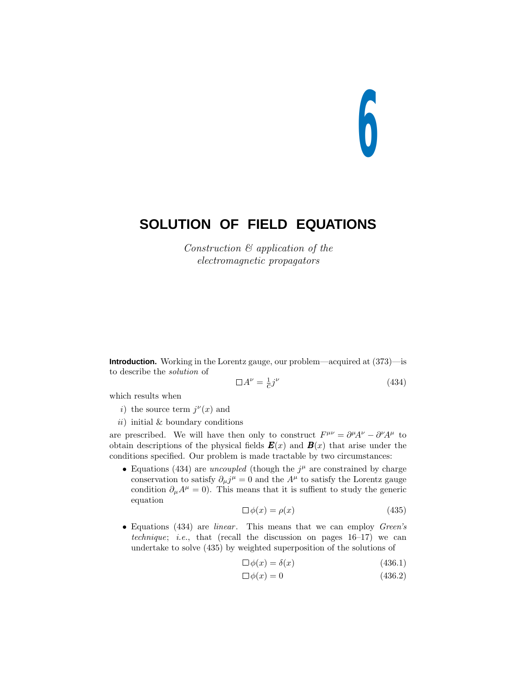# **6**

# **SOLUTION OF FIELD EQUATIONS**

Construction & application of the electromagnetic propagators

**Introduction.** Working in the Lorentz gauge, our problem—acquired at (373)—is to describe the solution of

$$
\Box A^{\nu} = \frac{1}{c} j^{\nu} \tag{434}
$$

which results when

- *i*) the source term  $j^{\nu}(x)$  and
- $ii)$  initial & boundary conditions

are prescribed. We will have then only to construct  $F^{\mu\nu} = \partial^{\mu}A^{\nu} - \partial^{\nu}A^{\mu}$  to obtain descriptions of the physical fields  $\mathbf{E}(x)$  and  $\mathbf{B}(x)$  that arise under the conditions specified. Our problem is made tractable by two circumstances:

• Equations (434) are *uncoupled* (though the  $j^{\mu}$  are constrained by charge conservation to satisfy  $\partial_{\mu} j^{\mu} = 0$  and the  $A^{\mu}$  to satisfy the Lorentz gauge condition  $\partial_{\mu}A^{\mu} = 0$ ). This means that it is suffient to study the generic equation

$$
\Box \phi(x) = \rho(x) \tag{435}
$$

• Equations  $(434)$  are *linear*. This means that we can employ *Green's* technique; i.e., that (recall the discussion on pages  $16-17$ ) we can undertake to solve (435) by weighted superposition of the solutions of

$$
\Box \phi(x) = \delta(x) \tag{436.1}
$$

$$
\Box \phi(x) = 0 \tag{436.2}
$$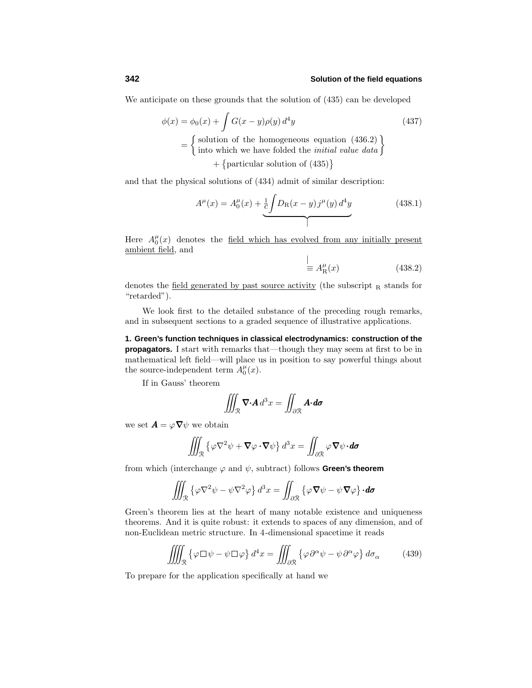# **342 Solution of the field equations**

We anticipate on these grounds that the solution of (435) can be developed

$$
\phi(x) = \phi_0(x) + \int G(x - y)\rho(y) d^4y
$$
\n
$$
= \begin{cases}\n\text{solution of the homogeneous equation (436.2)} \\
\text{into which we have folded the initial value data}\n\end{cases} + \begin{cases}\n\text{particular solution of (435)}\n\end{cases}
$$

and that the physical solutions of (434) admit of similar description:

$$
A^{\mu}(x) = A_0^{\mu}(x) + \underbrace{\frac{1}{c} \int D_{\rm R}(x - y) j^{\mu}(y) d^4 y}_{\text{max}}
$$
 (438.1)

Here  $A_0^{\mu}(x)$  denotes the <u>field which has evolved from any initially present</u> ambient field, and  $\mathbf{I}$ 

$$
\stackrel{!}{\equiv} A_{\rm R}^{\mu}(x) \tag{438.2}
$$

denotes the field generated by past source activity (the subscript  $R$  stands for "retarded").

We look first to the detailed substance of the preceding rough remarks, and in subsequent sections to a graded sequence of illustrative applications.

**1. Green's function techniques in classical electrodynamics: construction of the propagators.** I start with remarks that—though they may seem at first to be in mathematical left field—will place us in position to say powerful things about the source-independent term  $A_0^{\mu}(x)$ .

If in Gauss' theorem

$$
\iiint_{\mathcal{R}} \nabla \cdot \mathbf{A} \, d^3x = \iint_{\partial \mathcal{R}} \mathbf{A} \cdot \mathbf{d} \sigma
$$

we set  $\mathbf{A} = \varphi \nabla \psi$  we obtain

$$
\iiint_{\mathcal{R}} \left\{ \varphi \nabla^2 \psi + \nabla \varphi \cdot \nabla \psi \right\} d^3 x = \iint_{\partial \mathcal{R}} \varphi \nabla \psi \cdot d\sigma
$$

from which (interchange  $\varphi$  and  $\psi$ , subtract) follows **Green's theorem** 

$$
\iiint_{\mathcal{R}} \left\{ \varphi \nabla^2 \psi - \psi \nabla^2 \varphi \right\} d^3 x = \iint_{\partial \mathcal{R}} \left\{ \varphi \nabla \psi - \psi \nabla \varphi \right\} \cdot d\sigma
$$

Green's theorem lies at the heart of many notable existence and uniqueness theorems. And it is quite robust: it extends to spaces of any dimension, and of non-Euclidean metric structure. In 4-dimensional spacetime it reads

$$
\iiint_{\mathcal{R}} \left\{ \varphi \Box \psi - \psi \Box \varphi \right\} d^4 x = \iiint_{\partial \mathcal{R}} \left\{ \varphi \partial^{\alpha} \psi - \psi \partial^{\alpha} \varphi \right\} d\sigma_{\alpha} \tag{439}
$$

To prepare for the application specifically at hand we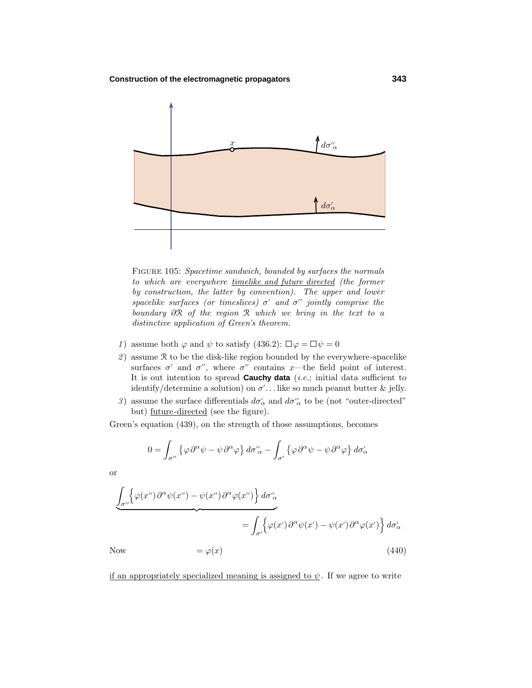

Figure 105: Spacetime sandwich, bounded by surfaces the normals to which are everywhere timelike and future directed (the former by construction, the latter by convention). The upper and lower spacelike surfaces (or timeslices)  $\sigma'$  and  $\sigma''$  jointly comprise the boundary *∂*R of the region R which we bring in the text to a distinctive application of Green's theorem.

- 1) assume both  $\varphi$  and  $\psi$  to satisfy (436.2):  $\Box \varphi = \Box \psi = 0$
- 2) assume  $R$  to be the disk-like region bounded by the everywhere-spacelike surfaces  $\sigma'$  and  $\sigma''$ , where  $\sigma''$  contains *x*—the field point of interest. It is out intention to spread **Cauchy data** (i.e.; initial data sufficient to identify/determine a solution) on *σ ...* like so much peanut butter & jelly.
- 3) assume the surface differentials  $d\sigma'_{\alpha}$  and  $d\sigma''_{\alpha}$  to be (not "outer-directed" but) future-directed (see the figure).

Green's equation (439), on the strength of those assumptions, becomes

$$
0 = \int_{\sigma''} \left\{ \varphi \, \partial^{\alpha} \psi - \psi \, \partial^{\alpha} \varphi \right\} d\sigma''_{\alpha} - \int_{\sigma'} \left\{ \varphi \, \partial^{\alpha} \psi - \psi \, \partial^{\alpha} \varphi \right\} d\sigma'_{\alpha}
$$

or

$$
\underbrace{\int_{\sigma''} \left\{ \varphi(x'') \partial^{\alpha} \psi(x'') - \psi(x'') \partial^{\alpha} \varphi(x'') \right\} d\sigma''_{\alpha}}_{\text{Now}} = \underbrace{\int_{\sigma'} \left\{ \varphi(x') \partial^{\alpha} \psi(x') - \psi(x') \partial^{\alpha} \varphi(x') \right\} d\sigma'_{\alpha}}_{\text{(440)}}
$$

if an appropriately specialized meaning is assigned to  $\psi$ . If we agree to write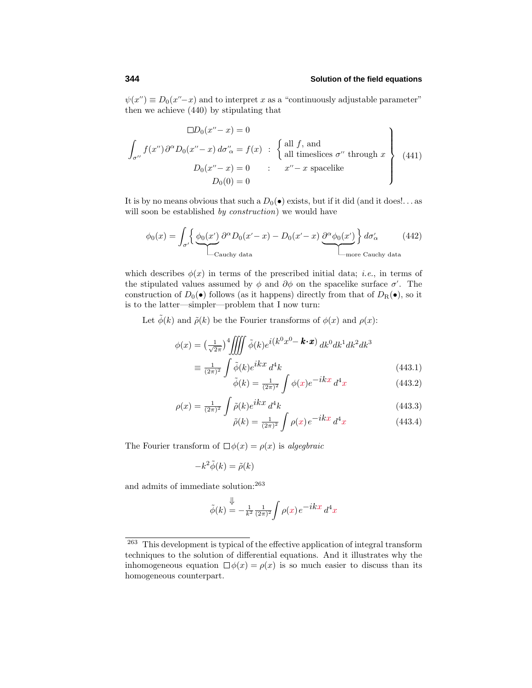# **344 Solution of the field equations**

 $\psi(x') \equiv D_0(x''-x)$  and to interpret *x* as a "continuously adjustable parameter" then we achieve (440) by stipulating that

$$
\Box D_0(x'' - x) = 0
$$
  

$$
\int_{\sigma''} f(x'') \partial^{\alpha} D_0(x'' - x) d\sigma'_{\alpha} = f(x) : \left\{ \text{all } f, \text{ and } \atop \text{all timeslices } \sigma'' \text{ through } x \right\}
$$
  

$$
D_0(x'' - x) = 0 : x'' - x \text{ spacelike}
$$
  

$$
D_0(0) = 0
$$
 (441)

It is by no means obvious that such a  $D_0(\bullet)$  exists, but if it did (and it does!... as will soon be established by construction) we would have

$$
\phi_0(x) = \int_{\sigma'} \left\{ \underbrace{\phi_0(x')}_{\text{Cauchy data}} \frac{\partial^{\alpha} D_0(x'-x) - D_0(x'-x)}{\partial^{\alpha} \phi_0(x')} \right\} d\sigma'_{\alpha} \tag{442}
$$

which describes  $\phi(x)$  in terms of the prescribed initial data; *i.e.*, in terms of the stipulated values assumed by  $\phi$  and  $\partial\phi$  on the spacelike surface  $\sigma'$ . The construction of  $D_0(\bullet)$  follows (as it happens) directly from that of  $D_R(\bullet)$ , so it is to the latter—simpler—problem that I now turn:

Let  $\tilde{\phi}(k)$  and  $\tilde{\rho}(k)$  be the Fourier transforms of  $\phi(x)$  and  $\rho(x)$ :

$$
\phi(x) = \left(\frac{1}{\sqrt{2\pi}}\right)^4 \iiint \tilde{\phi}(k)e^{i(k^0x^0 - \mathbf{k} \cdot \mathbf{x})} dk^0 dk^1 dk^2 dk^3
$$

$$
\equiv \frac{1}{(2\pi)^2} \int \tilde{\phi}(k)e^{ikx} d^4k
$$
(443.1)

$$
\tilde{\phi}(k) = \frac{1}{(2\pi)^2} \int \phi(x) e^{-ikx} d^4x \tag{443.2}
$$

$$
\rho(x) = \frac{1}{(2\pi)^2} \int \tilde{\rho}(k) e^{ikx} d^4k \tag{443.3}
$$
\n
$$
\tilde{\rho}(k) = \frac{1}{(2\pi)^2} \int \tilde{\rho}(k) e^{ikx} d^4k \tag{443.4}
$$

$$
\tilde{\rho}(k) = \frac{1}{(2\pi)^2} \int \rho(x) e^{-ikx} d^4x \tag{443.4}
$$

The Fourier transform of  $\Box \phi(x) = \rho(x)$  is algegiraic

$$
-k^2\tilde{\phi}(k) = \tilde{\rho}(k)
$$

and admits of immediate solution:<sup>263</sup>

$$
\tilde{\phi}(k) = -\frac{1}{k^2} \frac{1}{(2\pi)^2} \int \rho(x) e^{-ikx} d^4x
$$

<sup>263</sup> This development is typical of the effective application of integral transform techniques to the solution of differential equations. And it illustrates why the inhomogeneous equation  $\Box \phi(x) = \rho(x)$  is so much easier to discuss than its homogeneous counterpart.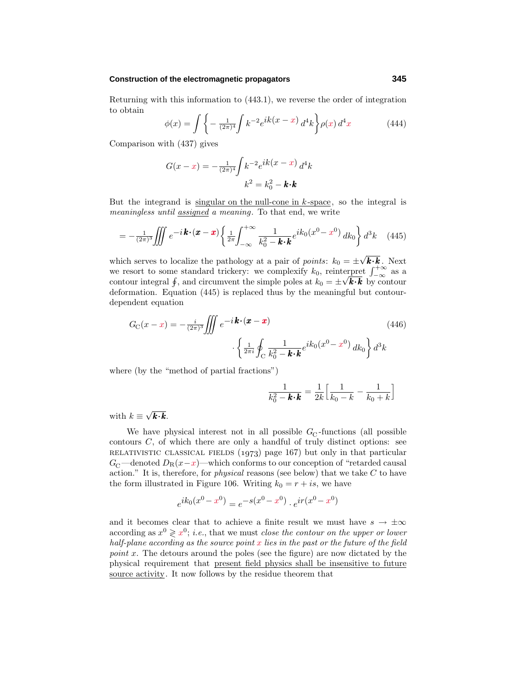#### **Construction of the electromagnetic propagators 345**

Returning with this information to (443.1), we reverse the order of integration to obtain

$$
\phi(x) = \int \left\{ -\frac{1}{(2\pi)^4} \int k^{-2} e^{ik(x-x)} d^4k \right\} \rho(x) d^4x \tag{444}
$$

Comparison with (437) gives

$$
G(x-x) = -\frac{1}{(2\pi)^4} \int k^{-2} e^{ik(x-x)} d^4k
$$

$$
k^2 = k_0^2 - k \cdot k
$$

But the integrand is singular on the null-cone in *k* -space, so the integral is meaningless until assigned a meaning. To that end, we write

$$
= -\frac{1}{(2\pi)^3} \iiint e^{-i\boldsymbol{k}\cdot(\boldsymbol{x}-\boldsymbol{x})} \left\{ \frac{1}{2\pi} \int_{-\infty}^{+\infty} \frac{1}{k_0^2 - \boldsymbol{k}\cdot\boldsymbol{k}} e^{ik_0(x^0 - x^0)} \, dk_0 \right\} d^3k \quad (445)
$$

which serves to localize the pathology at a pair of *points*:  $k_0 = \pm \sqrt{k \cdot k}$ . Next we resort to some standard trickery: we complexify  $k_0$ , reinterpret  $\int_{-\infty}^{+\infty}$  as a contour integral  $\oint$ , and circumvent the simple poles at  $k_0 = \pm \sqrt{k \cdot k}$  by contour deformation. Equation (445) is replaced thus by the meaningful but contourdependent equation

$$
G_{\rm C}(x-x) = -\frac{i}{(2\pi)^3} \iiint e^{-i\mathbf{k} \cdot (\mathbf{x} - \mathbf{x})} \cdot \left\{ \frac{1}{2\pi i} \oint_C \frac{1}{k_0^2 - \mathbf{k} \cdot \mathbf{k}} e^{ik_0(x^0 - x^0)} \, dk_0 \right\} d^3k \tag{446}
$$

where (by the "method of partial fractions")

$$
\frac{1}{k_0^2 - \mathbf{k} \cdot \mathbf{k}} = \frac{1}{2k} \left[ \frac{1}{k_0 - k} - \frac{1}{k_0 + k} \right]
$$

with  $k \equiv \sqrt{\mathbf{k} \cdot \mathbf{k}}$ .

We have physical interest not in all possible  $G_{\rm C}$ -functions (all possible contours *C*, of which there are only a handful of truly distinct options: see RELATIVISTIC CLASSICAL FIELDS  $(1973)$  page 167) but only in that particular  $G_{\rm C}$ —denoted  $D_{\rm R}(x-x)$ —which conforms to our conception of "retarded causal" action." It is, therefore, for physical reasons (see below) that we take *C* to have the form illustrated in Figure 106. Writing  $k_0 = r + i s$ , we have

$$
e^{ik_0(x^0 - x^0)} = e^{-s(x^0 - x^0)} \cdot e^{ir(x^0 - x^0)}
$$

and it becomes clear that to achieve a finite result we must have  $s \to \pm \infty$ according as  $x^0 \geq x^0$ ; *i.e.*, that we must *close the contour on the upper or lower* half-plane according as the source point *x* lies in the past or the future of the field point x. The detours around the poles (see the figure) are now dictated by the physical requirement that present field physics shall be insensitive to future source activity. It now follows by the residue theorem that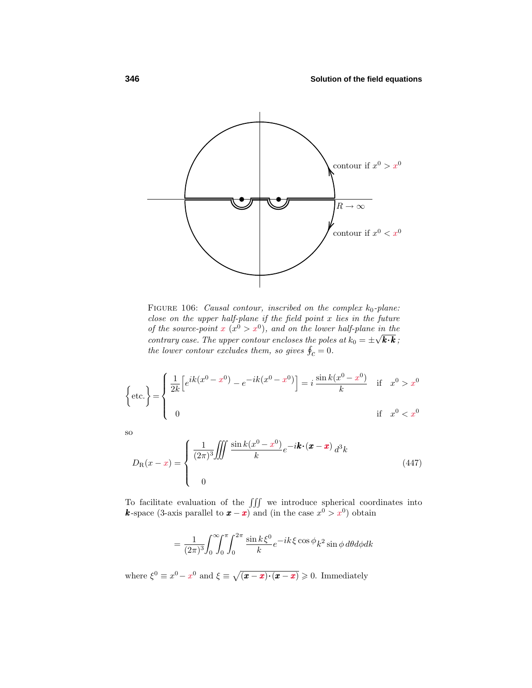

FIGURE 106: Causal contour, inscribed on the complex  $k_0$ -plane: close on the upper half-plane if the field point *x* lies in the future of the source-point  $x(x^0 > x^0)$ , and on the lower half-plane in the contrary case. The upper contour encloses the poles at  $k_0 = \pm \sqrt{k \cdot k}$ ; the lower contour excludes them, so gives  $\oint_C = 0$ .

$$
\left\{\text{etc.}\right\} = \begin{cases} \frac{1}{2k} \left[ e^{ik(x^0 - x^0)} - e^{-ik(x^0 - x^0)} \right] = i \frac{\sin k(x^0 - x^0)}{k} & \text{if } x^0 > x^0\\ 0 & \text{if } x^0 < x^0 \end{cases}
$$

so

$$
D_{\mathcal{R}}(x-x) = \begin{cases} \frac{1}{(2\pi)^3} \iiint \frac{\sin k(x^0 - x^0)}{k} e^{-i\boldsymbol{k} \cdot (\boldsymbol{x} - \boldsymbol{x})} d^3k\\ 0 \end{cases}
$$
(447)

To facilitate evaluation of the  $\iiint$  we introduce spherical coordinates into *k*-space (3-axis parallel to  $x - x$ ) and (in the case  $x^0 > x^0$ ) obtain

$$
= \frac{1}{(2\pi)^3} \int_0^{\infty} \int_0^{\pi} \int_0^{2\pi} \frac{\sin k\xi^0}{k} e^{-ik\xi} \cos \phi_k^2 \sin \phi \, d\theta \, d\phi \, dk
$$

where  $\xi^0 \equiv x^0 - x^0$  and  $\xi \equiv \sqrt{(\pmb{x} - \pmb{x}) \cdot (\pmb{x} - \pmb{x})} \geq 0$ . Immediately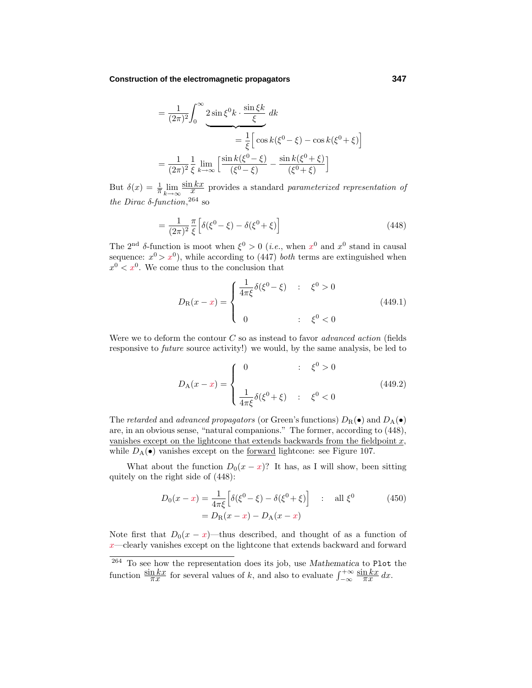#### **Construction of the electromagnetic propagators 347**

$$
= \frac{1}{(2\pi)^2} \int_0^\infty 2\sin\xi^0 k \cdot \frac{\sin\xi k}{\xi} dk
$$
  
=  $\frac{1}{\xi} \left[ \cos k(\xi^0 - \xi) - \cos k(\xi^0 + \xi) \right]$   
=  $\frac{1}{(2\pi)^2} \frac{1}{\xi} \lim_{k \to \infty} \left[ \frac{\sin k(\xi^0 - \xi)}{(\xi^0 - \xi)} - \frac{\sin k(\xi^0 + \xi)}{(\xi^0 + \xi)} \right]$ 

But  $\delta(x) = \frac{1}{\pi} \lim_{k \to \infty}$  $\frac{\sin kx}{x}$  provides a standard *parameterized representation of* the Dirac  $\delta$ -function,<sup>264</sup> so

$$
=\frac{1}{(2\pi)^2}\frac{\pi}{\xi}\left[\delta(\xi^0-\xi)-\delta(\xi^0+\xi)\right]
$$
\n(448)

The 2<sup>nd</sup> δ-function is moot when  $\xi^0 > 0$  (*i.e.*, when  $x^0$  and  $x^0$  stand in causal sequence:  $x^0 > x^0$ , while according to (447) *both* terms are extinguished when  $x^0$  <  $x^0$ . We come thus to the conclusion that

$$
D_{\mathcal{R}}(x-x) = \begin{cases} \frac{1}{4\pi\xi} \delta(\xi^0 - \xi) & : \xi^0 > 0 \\ 0 & : \xi^0 < 0 \end{cases} \tag{449.1}
$$

Were we to deform the contour  $C$  so as instead to favor *advanced action* (fields responsive to *future* source activity!) we would, by the same analysis, be led to

$$
D_{A}(x-x) = \begin{cases} 0 & \text{if } \xi^{0} > 0 \\ \frac{1}{4\pi\xi} \delta(\xi^{0} + \xi) & \text{if } \xi^{0} < 0 \end{cases}
$$
(449.2)

The *retarded* and *advanced propagators* (or Green's functions)  $D_R(\bullet)$  and  $D_A(\bullet)$ are, in an obvious sense, "natural companions." The former, according to (448), vanishes except on the lightcone that extends backwards from the fieldpoint *x*, while  $D_A(\bullet)$  vanishes except on the <u>forward</u> lightcone: see Figure 107.

What about the function  $D_0(x-x)$ ? It has, as I will show, been sitting quitely on the right side of (448):

$$
D_0(x - x) = \frac{1}{4\pi\xi} \left[ \delta(\xi^0 - \xi) - \delta(\xi^0 + \xi) \right] \quad : \quad \text{all } \xi^0
$$
  
=  $D_R(x - x) - D_A(x - x)$  (450)

Note first that  $D_0(x-x)$ —thus described, and thought of as a function of *x*—clearly vanishes except on the lightcone that extends backward and forward

<sup>264</sup> To see how the representation does its job, use *Mathematica* to Plot the function  $\frac{\sin kx}{\pi x}$  for several values of *k*, and also to evaluate  $\int_{-\infty}^{+\infty}$  $\frac{\sin kx}{\pi x} dx$ .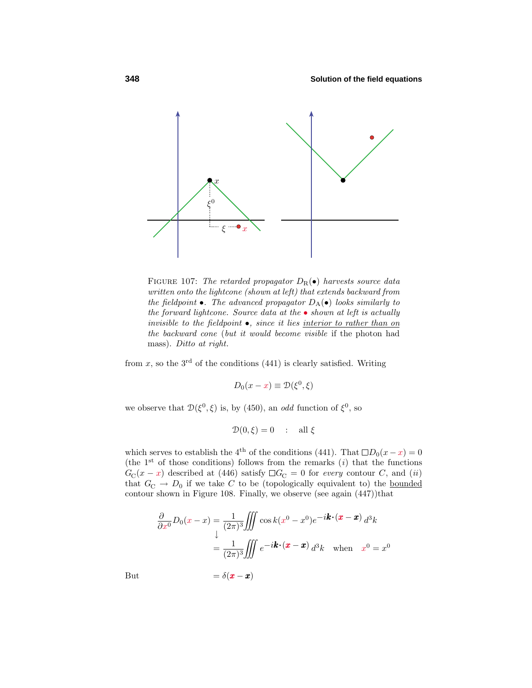

FIGURE 107: The retarded propagator  $D_R(\bullet)$  harvests source data written onto the lightcone (shown at left) that extends backward from the fieldpoint  $\bullet$ . The advanced propagator  $D_A(\bullet)$  looks similarly to the forward lightcone. Source data at the  $\bullet$  shown at left is actually invisible to the fieldpoint  $\bullet$ , since it lies interior to rather than on the backward cone (but it would become visible if the photon had mass). Ditto at right.

from  $x$ , so the  $3<sup>rd</sup>$  of the conditions (441) is clearly satisfied. Writing

$$
D_0(x - x) \equiv \mathcal{D}(\xi^0, \xi)
$$

we observe that  $\mathcal{D}(\xi^0, \xi)$  is, by (450), an *odd* function of  $\xi^0$ , so

$$
\mathcal{D}(0,\xi) = 0 \quad : \quad \text{all } \xi
$$

which serves to establish the 4<sup>th</sup> of the conditions (441). That  $\Box D_0(x-x)=0$ (the  $1<sup>st</sup>$  of those conditions) follows from the remarks  $(i)$  that the functions  $G_{\text{C}}(x-x)$  described at (446) satisfy  $\Box G_{\text{C}}=0$  for every contour *C*, and (ii) that  $G_{\text{C}} \rightarrow D_0$  if we take *C* to be (topologically equivalent to) the <u>bounded</u> contour shown in Figure 108. Finally, we observe (see again (447))that

$$
\frac{\partial}{\partial x^0}D_0(x-x) = \frac{1}{(2\pi)^3} \iiint \cos k(x^0 - x^0)e^{-i\mathbf{k} \cdot (\mathbf{x} - \mathbf{x})} d^3k
$$

$$
= \frac{1}{(2\pi)^3} \iiint e^{-i\mathbf{k} \cdot (\mathbf{x} - \mathbf{x})} d^3k \quad \text{when} \quad x^0 = x^0
$$

But 
$$
= \delta(\boldsymbol{x} - \boldsymbol{x})
$$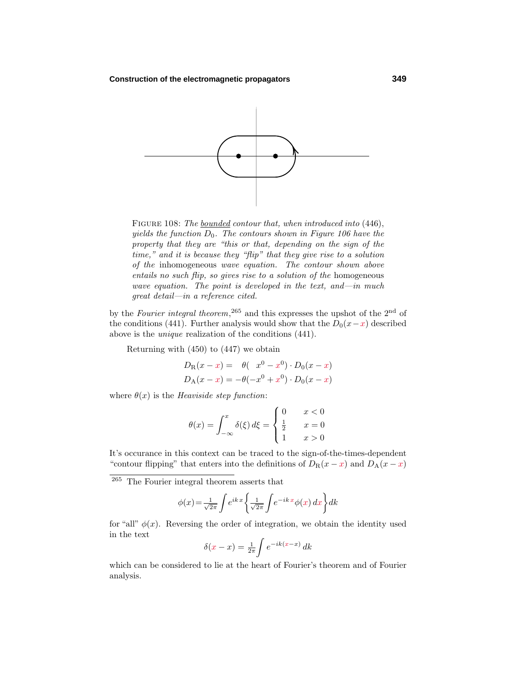

FIGURE 108: The <u>bounded</u> contour that, when introduced into (446), yields the function  $D_0$ . The contours shown in Figure 106 have the property that they are "this or that, depending on the sign of the time," and it is because they "flip" that they give rise to a solution of the inhomogeneous wave equation. The contour shown above entails no such flip, so gives rise to a solution of the homogeneous wave equation. The point is developed in the text, and—in much great detail—in a reference cited.

by the Fourier integral theorem,<sup>265</sup> and this expresses the upshot of the 2<sup>nd</sup> of the conditions (441). Further analysis would show that the  $D_0(x-x)$  described above is the unique realization of the conditions (441).

Returning with (450) to (447) we obtain

$$
D_{R}(x - x) = \theta(x^{0} - x^{0}) \cdot D_{0}(x - x)
$$
  

$$
D_{A}(x - x) = -\theta(-x^{0} + x^{0}) \cdot D_{0}(x - x)
$$

where  $\theta(x)$  is the *Heaviside step function*:

$$
\theta(x) = \int_{-\infty}^{x} \delta(\xi) d\xi = \begin{cases} 0 & x < 0 \\ \frac{1}{2} & x = 0 \\ 1 & x > 0 \end{cases}
$$

It's occurance in this context can be traced to the sign-of-the-times-dependent "contour flipping" that enters into the definitions of  $D_R(x-x)$  and  $D_A(x-x)$ "

<sup>265</sup> The Fourier integral theorem asserts that

$$
\phi(x) = \frac{1}{\sqrt{2\pi}} \int e^{ikx} \left\{ \frac{1}{\sqrt{2\pi}} \int e^{-ikx} \phi(x) \, dx \right\} dk
$$

for "all"  $\phi(x)$ . Reversing the order of integration, we obtain the identity used in the text

$$
\delta(x - x) = \frac{1}{2\pi} \int e^{-ik(x - x)} \, dk
$$

which can be considered to lie at the heart of Fourier's theorem and of Fourier analysis.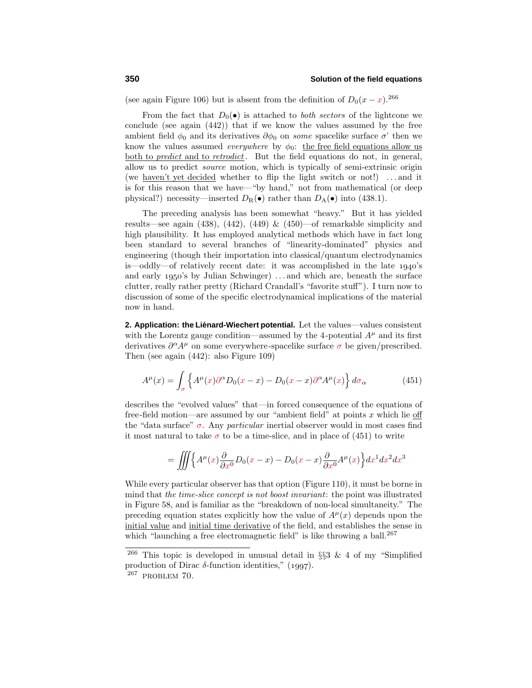(see again Figure 106) but is absent from the definition of  $D_0(x-x)$ .<sup>266</sup>

From the fact that  $D_0(\bullet)$  is attached to *both sectors* of the lightcone we conclude (see again (442)) that if we know the values assumed by the free ambient field  $\phi_0$  and its derivatives  $\partial \phi_0$  on *some* spacelike surface  $\sigma'$  then we know the values assumed *everywhere* by  $\phi_0$ : the free field equations allow us both to *predict* and to *retrodict*. But the field equations do not, in general, allow us to predict source motion, which is typically of semi-extrinsic origin (we haven't yet decided whether to flip the light switch or not!) *...* and it is for this reason that we have—"by hand," not from mathematical (or deep physical?) necessity—inserted  $D_{\rm R}(\bullet)$  rather than  $D_{\rm A}(\bullet)$  into (438.1).

The preceding analysis has been somewhat "heavy." But it has yielded results—see again  $(438)$ ,  $(442)$ ,  $(449)$  &  $(450)$ —of remarkable simplicity and high plausibility. It has employed analytical methods which have in fact long been standard to several branches of "linearity-dominated" physics and engineering (though their importation into classical/quantum electrodynamics is—oddly—of relatively recent date: it was accomplished in the late  $1940$ 's and early 1950's by Julian Schwinger) ...and which are, beneath the surface clutter, really rather pretty (Richard Crandall's "favorite stuff"). I turn now to discussion of some of the specific electrodynamical implications of the material now in hand.

2. Application: the Liénard-Wiechert potential. Let the values—values consistent with the Lorentz gauge condition—assumed by the 4-potential  $A^{\mu}$  and its first derivatives  $\partial^{\alpha}A^{\mu}$  on some everywhere-spacelike surface  $\sigma$  be given/prescribed. Then (see again (442): also Figure 109)

$$
A^{\mu}(x) = \int_{\sigma} \left\{ A^{\mu}(x) \partial^{\alpha} D_0(x - x) - D_0(x - x) \partial^{\alpha} A^{\mu}(x) \right\} d\sigma_{\alpha}
$$
 (451)

describes the "evolved values" that—in forced consequence of the equations of free-field motion—are assumed by our "ambient field" at points *x* which lie off the "data surface"  $\sigma$ . Any *particular* inertial observer would in most cases find it most natural to take  $\sigma$  to be a time-slice, and in place of (451) to write

$$
= \iiint \Big\{ A^{\mu}(x) \frac{\partial}{\partial x^0} D_0(x-x) - D_0(x-x) \frac{\partial}{\partial x^0} A^{\mu}(x) \Big\} dx^1 dx^2 dx^3
$$

While every particular observer has that option (Figure 110), it must be borne in mind that the time-slice concept is not boost invariant: the point was illustrated in Figure 58, and is familiar as the "breakdown of non-local simultaneity." The preceding equation states explicitly how the value of  $A^{\mu}(x)$  depends upon the initial value and initial time derivative of the field, and establishes the sense in which "launching a free electromagnetic field" is like throwing a ball. $^{267}$ 

<sup>&</sup>lt;sup>266</sup> This topic is developed in unusual detail in §§3 & 4 of my "Simplified production of Dirac  $\delta$ -function identities,"  $(1997)$ .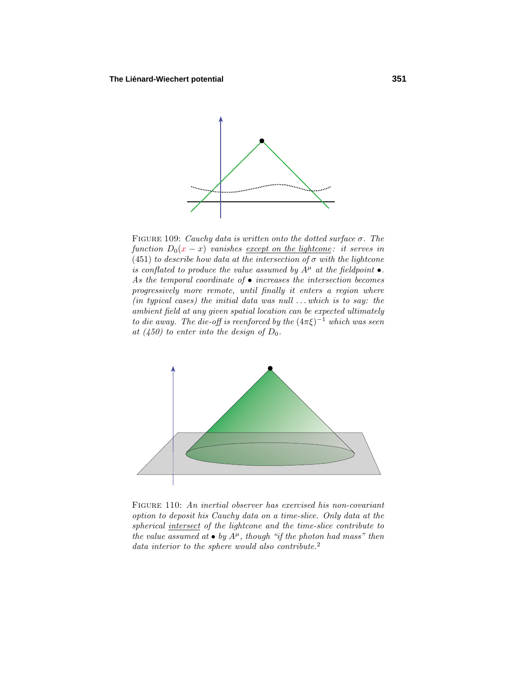

FIGURE 109: Cauchy data is written onto the dotted surface  $\sigma$ . The function  $D_0(x-x)$  vanishes <u>except on the lightcone</u>: it serves in (451) to describe how data at the intersection of  $\sigma$  with the lightcone is conflated to produce the value assumed by  $A^{\mu}$  at the fieldpoint  $\bullet$ . As the temporal coordinate of  $\bullet$  increases the intersection becomes progressively more remote, until finally it enters a region where (in typical cases) the initial data was null *...*which is to say: the ambient field at any given spatial location can be expected ultimately to die away. The die-off is reenforced by the  $(4\pi\xi)^{-1}$  which was seen at  $(450)$  to enter into the design of  $D_0$ .



Figure 110: An inertial observer has exercised his non-covariant option to deposit his Cauchy data on a time-slice. Only data at the spherical intersect of the lightcone and the time-slice contribute to the value assumed at  $\bullet$  by  $A^{\mu}$ , though "if the photon had mass" then data interior to the sphere would also contribute.<sup>2</sup>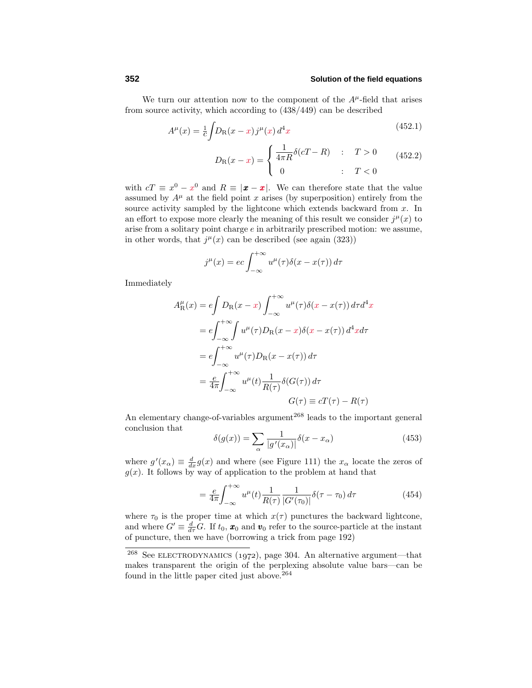# **352 Solution of the field equations**

We turn our attention now to the component of the  $A^{\mu}$ -field that arises from source activity, which according to (438/449) can be described

$$
A^{\mu}(x) = \frac{1}{c} \int D_{\rm R}(x - x) j^{\mu}(x) d^4 x \tag{452.1}
$$

$$
D_{\rm R}(x-x) = \begin{cases} \frac{1}{4\pi R} \delta(cT - R) & : T > 0\\ 0 & : T < 0 \end{cases} \tag{452.2}
$$

with  $cT \equiv x^0 - x^0$  and  $R \equiv |\mathbf{x} - \mathbf{x}|$ . We can therefore state that the value assumed by  $A^{\mu}$  at the field point *x* arises (by superposition) entirely from the source activity sampled by the lightcone which extends backward from *x*. In an effort to expose more clearly the meaning of this result we consider  $j^{\mu}(x)$  to arise from a solitary point charge *e* in arbitrarily prescribed motion: we assume, in other words, that  $j^{\mu}(x)$  can be described (see again (323))

$$
j^{\mu}(x) = ec \int_{-\infty}^{+\infty} u^{\mu}(\tau) \delta(x - x(\tau)) d\tau
$$

Immediately

$$
A_{\rm R}^{\mu}(x) = e \int D_{\rm R}(x - x) \int_{-\infty}^{+\infty} u^{\mu}(\tau) \delta(x - x(\tau)) d\tau d^4x
$$
  
\n
$$
= e \int_{-\infty}^{+\infty} \int u^{\mu}(\tau) D_{\rm R}(x - x) \delta(x - x(\tau)) d^4x d\tau
$$
  
\n
$$
= e \int_{-\infty}^{+\infty} u^{\mu}(\tau) D_{\rm R}(x - x(\tau)) d\tau
$$
  
\n
$$
= \frac{e}{4\pi} \int_{-\infty}^{+\infty} u^{\mu}(t) \frac{1}{R(\tau)} \delta(G(\tau)) d\tau
$$
  
\n
$$
G(\tau) \equiv cT(\tau) - R(\tau)
$$

An elementary change-of-variables argument<sup>268</sup> leads to the important general conclusion that

$$
\delta(g(x)) = \sum_{\alpha} \frac{1}{|g'(x_{\alpha})|} \delta(x - x_{\alpha})
$$
\n(453)

where  $g'(x_\alpha) \equiv \frac{d}{dx}g(x)$  and where (see Figure 111) the  $x_\alpha$  locate the zeros of  $g(x)$ . It follows by way of application to the problem at hand that

$$
=\frac{e}{4\pi}\int_{-\infty}^{+\infty}u^{\mu}(t)\frac{1}{R(\tau)}\frac{1}{|G'(\tau_0)|}\delta(\tau-\tau_0)\,d\tau\tag{454}
$$

where  $\tau_0$  is the proper time at which  $x(\tau)$  punctures the backward lightcone, and where  $G' \equiv \frac{d}{d\tau} G$ . If  $t_0$ ,  $\mathbf{x}_0$  and  $\mathbf{v}_0$  refer to the source-particle at the instant of puncture, then we have (borrowing a trick from page 192)

<sup>&</sup>lt;sup>268</sup> See ELECTRODYNAMICS (1972), page 304. An alternative argument—that makes transparent the origin of the perplexing absolute value bars—can be found in the little paper cited just above.<sup>264</sup>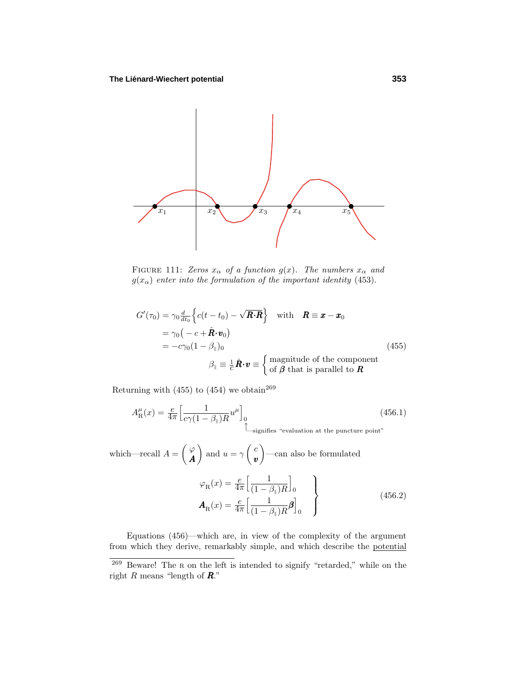

FIGURE 111: Zeros  $x_{\alpha}$  of a function  $g(x)$ . The numbers  $x_{\alpha}$  and  $g(x_{\alpha})$  enter into the formulation of the important identity (453).

$$
G'(\tau_0) = \gamma_0 \frac{d}{dt_0} \left\{ c(t - t_0) - \sqrt{\mathbf{R} \cdot \mathbf{R}} \right\} \quad \text{with} \quad \mathbf{R} \equiv \mathbf{x} - \mathbf{x}_0
$$
  
=  $\gamma_0 \left( -c + \hat{\mathbf{R}} \cdot \mathbf{v}_0 \right)$   
=  $-c \gamma_0 (1 - \beta_{\parallel})_0$   
 $\beta_{\parallel} \equiv \frac{1}{C} \hat{\mathbf{R}} \cdot \mathbf{v} \equiv \begin{cases} \text{magnitude of the component} \\ \text{of } \boldsymbol{\beta} \text{ that is parallel to } \mathbf{R} \end{cases}$  (455)

Returning with (455) to (454) we obtain  $269$ 

$$
A_{\rm R}^{\mu}(x) = \frac{e}{4\pi} \left[ \frac{1}{c\gamma (1 - \beta_{\parallel})R} u^{\mu} \right]_{0}
$$
(456.1)  
 
$$
\sum_{\text{signifies "evaluation at the puncture point"}}
$$

which—recall  $A = \begin{pmatrix} \varphi & \varphi \\ \varphi & \varphi & \varphi \end{pmatrix}$ *A* and  $u = \gamma \left( \frac{c}{v} \right)$ *v* —can also be formulated

$$
\varphi_{\mathcal{R}}(x) = \frac{e}{4\pi} \left[ \frac{1}{(1 - \beta_{\parallel})R} \right]_0
$$
\n
$$
\mathbf{A}_{\mathcal{R}}(x) = \frac{e}{4\pi} \left[ \frac{1}{(1 - \beta_{\parallel})R} \boldsymbol{\beta} \right]_0
$$
\n(456.2)

Equations (456)—which are, in view of the complexity of the argument from which they derive, remarkably simple, and which describe the potential

<sup>269</sup> Beware! The <sup>R</sup> on the left is intended to signify "retarded," while on the right *R* means "length of *R*."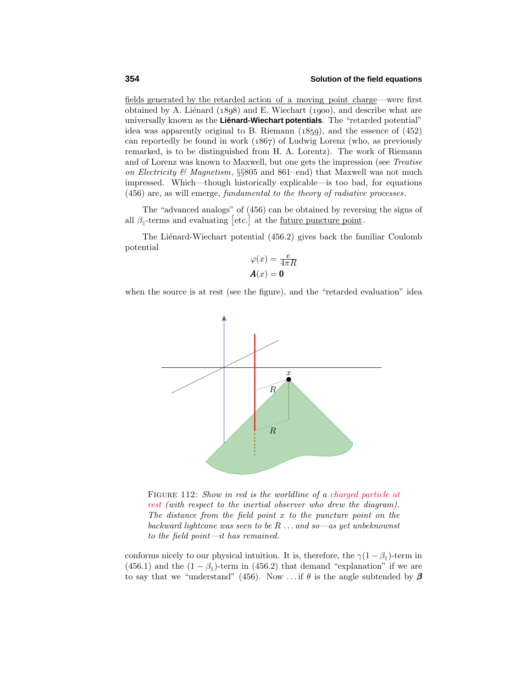fields generated by the retarded action of a moving point charge—were first obtained by A. Liénard  $(1898)$  and E. Wiechart  $(1900)$ , and describe what are universally known as the Liénard-Wiechart potentials. The "retarded potential" idea was apparently original to B. Riemann  $(1859)$ , and the essence of  $(452)$ can reportedly be found in work  $(1867)$  of Ludwig Lorenz (who, as previously remarked, is to be distinguished from H. A. Lorentz). The work of Riemann and of Lorenz was known to Maxwell, but one gets the impression (see Treatise on Electricity & Magnetism,  $\S$ 805 and 861–end) that Maxwell was not much impressed. Which—though historically explicable—is too bad, for equations (456) are, as will emerge, fundamental to the theory of radiative processes.

The "advanced analogs" of (456) can be obtained by reversing the signs of all  $\beta_{\parallel}$ -terms and evaluating [etc.] at the <u>future puncture point</u>.

The Liénard-Wiechart potential  $(456.2)$  gives back the familiar Coulomb potential

$$
\varphi(x) = \frac{e}{4\pi R}
$$

$$
A(x) = 0
$$

when the source is at rest (see the figure), and the "retarded evaluation" idea



FIGURE 112: Show in red is the worldline of a charged particle at rest (with respect to the inertial observer who drew the diagram). The distance from the field point *x* to the puncture point on the backward lightcone was seen to be *R...* and so—as yet unbeknownst to the field point—it has remained.

conforms nicely to our physical intuition. It is, therefore, the  $\gamma(1-\beta_{\parallel})$ -term in (456.1) and the  $(1 - \beta_{\parallel})$ -term in (456.2) that demand "explanation" if we are to say that we "understand" (456). Now ... if  $\theta$  is the angle subtended by  $\beta$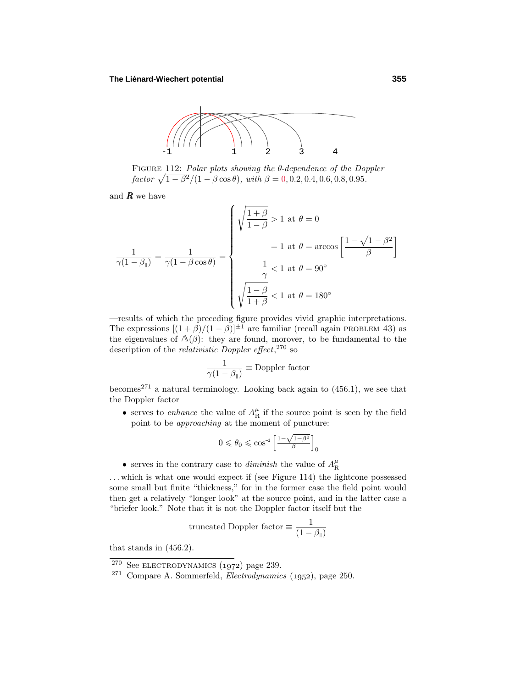

Figure 112: Polar plots showing the *θ*-dependence of the Doppler  $factor \sqrt{1 - \beta^2}/(1 - \beta \cos \theta)$ , with  $\beta = 0, 0.2, 0.4, 0.6, 0.8, 0.95$ .

and  $\boldsymbol{R}$  we have

$$
\frac{1}{\gamma(1-\beta_{\parallel})} = \frac{1}{\gamma(1-\beta\cos\theta)} = \begin{cases} \sqrt{\frac{1+\beta}{1-\beta}} > 1 \text{ at } \theta = 0\\ &= 1 \text{ at } \theta = \arccos\left[\frac{1-\sqrt{1-\beta^2}}{\beta}\right] \\ & \frac{1}{\gamma} < 1 \text{ at } \theta = 90^{\circ} \\ & \sqrt{\frac{1-\beta}{1+\beta}} < 1 \text{ at } \theta = 180^{\circ} \end{cases}
$$

—results of which the preceding figure provides vivid graphic interpretations. The expressions  $[(1 + \beta)/(1 - \beta)]^{\pm 1}$  are familiar (recall again PROBLEM 43) as the eigenvalues of  $\Lambda(\beta)$ : they are found, morover, to be fundamental to the description of the *relativistic Doppler effect*,<sup>270</sup> so

$$
\frac{1}{\gamma(1-\beta_{\parallel})} \equiv \text{Doppler factor}
$$

becomes<sup>271</sup> a natural terminology. Looking back again to  $(456.1)$ , we see that the Doppler factor

• serves to *enhance* the value of  $A_{\rm R}^{\mu}$  if the source point is seen by the field point to be approaching at the moment of puncture:

$$
0\leqslant \theta_0\leqslant \cos^{\!-\!1}\Big[\frac{1-\sqrt{1-\beta^2}}{\beta}\Big]_0
$$

 $\bullet\,$  serves in the contrary case to  $\emph{diminish}$  the value of  $A_{\rm R}^\mu$ 

*...* which is what one would expect if (see Figure 114) the lightcone possessed some small but finite "thickness," for in the former case the field point would then get a relatively "longer look" at the source point, and in the latter case a "briefer look." Note that it is not the Doppler factor itself but the

truncated Doppler factor 
$$
\equiv \frac{1}{(1 - \beta_{\parallel})}
$$

that stands in (456.2).

 $270$  See ELECTRODYNAMICS (1972) page 239.

 $271$  Compare A. Sommerfeld, *Electrodynamics* (1952), page 250.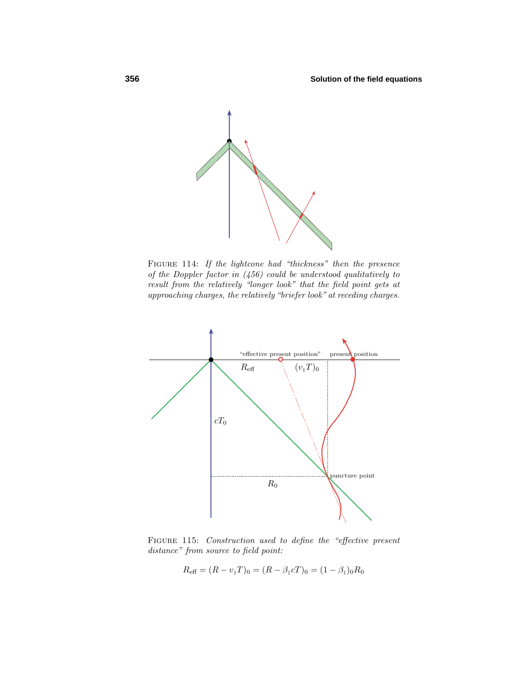

FIGURE 114: If the lightcone had "thickness" then the presence of the Doppler factor in (456) could be understood qualitatively to result from the relatively "longer look" that the field point gets at approaching charges, the relatively "briefer look" at receding charges.



FIGURE 115: Construction used to define the "effective present distance" from source to field point:

$$
R_{\text{eff}} = (R - v_{\parallel}T)_0 = (R - \beta_{\parallel}cT)_0 = (1 - \beta_{\parallel})_0R_0
$$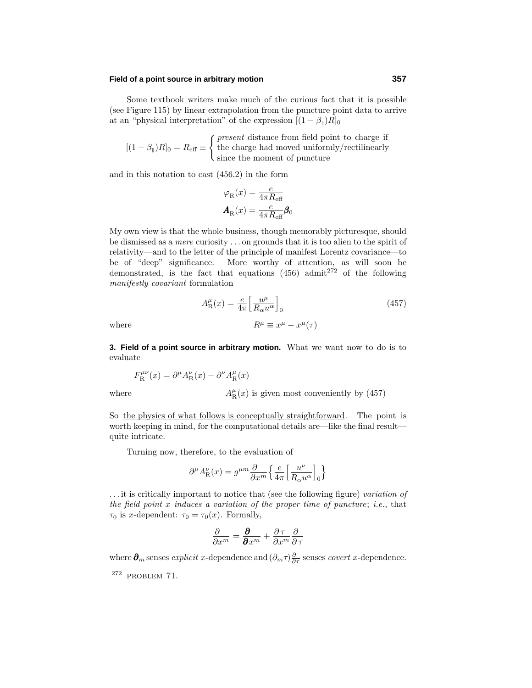# **Field of a point source in arbitrary motion 357**

Some textbook writers make much of the curious fact that it is possible (see Figure 115) by linear extrapolation from the puncture point data to arrive at an "physical interpretation" of the expression  $[(1 - \beta_{\parallel})R]_0$ 

$$
[(1 - \beta_{\parallel})R]_0 = R_{\text{eff}} \equiv \begin{cases} \text{present distance from field point to charge if} \\ \text{the charge had moved uniformly/rectilinearly} \\ \text{since the moment of puncture} \end{cases}
$$

and in this notation to cast (456.2) in the form

$$
\begin{aligned} \varphi_{\mathrm{R}}(x) &= \frac{e}{4\pi R_{\mathrm{eff}}} \\ \pmb{A}_{\mathrm{R}}(x) &= \frac{e}{4\pi R_{\mathrm{eff}}} \pmb{\beta}_0 \end{aligned}
$$

My own view is that the whole business, though memorably picturesque, should be dismissed as a mere curiosity *...* on grounds that it is too alien to the spirit of relativity—and to the letter of the principle of manifest Lorentz covariance—to be of "deep" significance. More worthy of attention, as will soon be demonstrated, is the fact that equations  $(456)$  admit<sup>272</sup> of the following manifestly covariant formulation

$$
A_{\rm R}^{\mu}(x) = \frac{e}{4\pi} \left[ \frac{u^{\mu}}{R_{\alpha} u^{\alpha}} \right]_{0}
$$
 (457)  
where  

$$
R^{\mu} \equiv x^{\mu} - x^{\mu}(\tau)
$$

**3. Field of a point source in arbitrary motion.** What we want now to do is to evaluate

$$
F_{\rm R}^{\mu\nu}(x) = \partial^{\mu} A_{\rm R}^{\nu}(x) - \partial^{\nu} A_{\rm R}^{\mu}(x)
$$

 $where$ 

 $A_{\rm R}^{\mu}(x)$  is given most conveniently by (457)

So the physics of what follows is conceptually straightforward. The point is worth keeping in mind, for the computational details are—like the final result quite intricate.

Turning now, therefore, to the evaluation of

$$
\partial^{\mu}A_{\rm R}^{\nu}(x)=g^{\mu m}\frac{\partial}{\partial x^{m}}\Big\{\frac{e}{4\pi}\Big[\frac{u^{\nu}}{R_{\alpha}u^{\alpha}}\Big]_{0}\Big\}
$$

*...* it is critically important to notice that (see the following figure) variation of the field point *x* induces a variation of the proper time of puncture; i.e., that  $\tau_0$  is *x*-dependent:  $\tau_0 = \tau_0(x)$ . Formally,

$$
\frac{\partial}{\partial x^m} = \frac{\partial}{\partial x^m} + \frac{\partial \tau}{\partial x^m} \frac{\partial}{\partial \tau}
$$

where  $\partial_n$  senses *explicit x*-dependence and  $(\partial_m \tau) \frac{\partial}{\partial \tau}$  senses *covert x*-dependence.

 $272$  PROBLEM 71.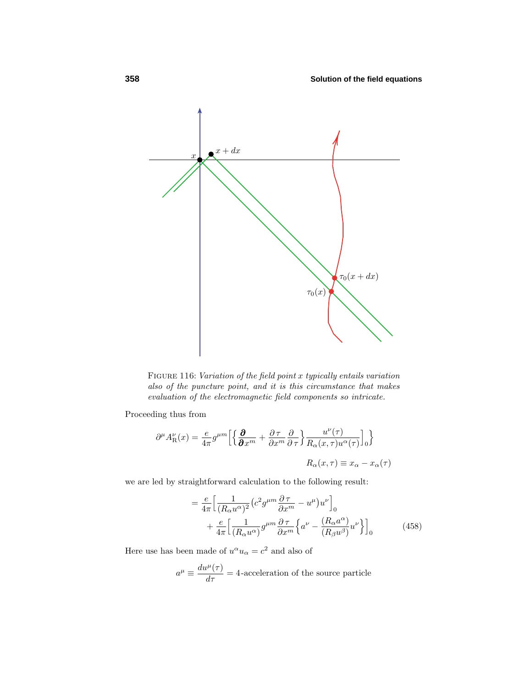

Figure 116: Variation of the field point *x* typically entails variation also of the puncture point, and it is this circumstance that makes evaluation of the electromagnetic field components so intricate.

Proceeding thus from

$$
\partial^{\mu}A_{\mathcal{R}}^{\nu}(x) = \frac{e}{4\pi}g^{\mu m}\left[\left\{\frac{\partial}{\partial x^{m}} + \frac{\partial \tau}{\partial x^{m}}\frac{\partial}{\partial \tau}\right\}\frac{u^{\nu}(\tau)}{R_{\alpha}(x,\tau)u^{\alpha}(\tau)}\right]_{0}\right\}
$$

$$
R_{\alpha}(x,\tau) \equiv x_{\alpha} - x_{\alpha}(\tau)
$$

we are led by straightforward calculation to the following result:

$$
= \frac{e}{4\pi} \left[ \frac{1}{(R_{\alpha}u^{\alpha})^2} \left( c^2 g^{\mu m} \frac{\partial \tau}{\partial x^m} - u^{\mu} \right) u^{\nu} \right]_0
$$
  
 
$$
+ \frac{e}{4\pi} \left[ \frac{1}{(R_{\alpha}u^{\alpha})} g^{\mu m} \frac{\partial \tau}{\partial x^m} \left\{ a^{\nu} - \frac{(R_{\alpha}a^{\alpha})}{(R_{\beta}u^{\beta})} u^{\nu} \right\} \right]_0
$$
(458)

Here use has been made of  $u^{\alpha}u_{\alpha} = c^2$  and also of

$$
a^{\mu} \equiv \frac{du^{\mu}(\tau)}{d\tau} = 4
$$
-acceleration of the source particle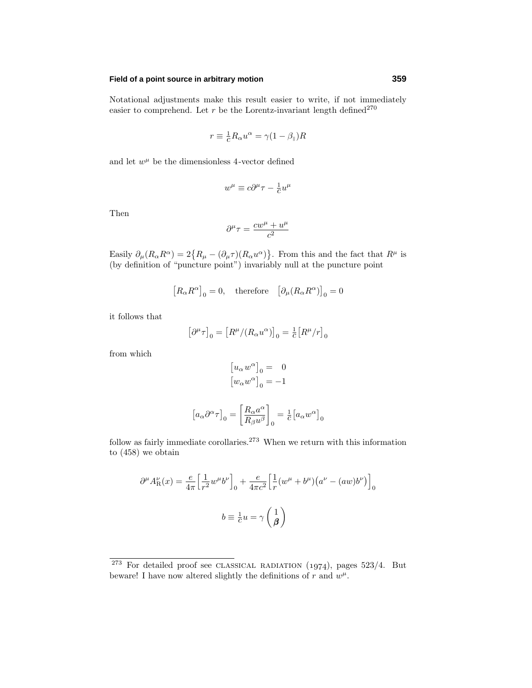#### **Field of a point source in arbitrary motion 359**

Notational adjustments make this result easier to write, if not immediately easier to comprehend. Let  $r$  be the Lorentz-invariant length  $\mathrm{defined^{270}}$ 

$$
r \equiv \frac{1}{c} R_{\alpha} u^{\alpha} = \gamma (1 - \beta_{\parallel}) R
$$

and let  $w^{\mu}$  be the dimensionless 4-vector defined

$$
w^\mu \equiv c\partial^\mu\tau - \tfrac{1}{c}u^\mu
$$

Then

$$
\partial^{\mu}\tau = \frac{cw^{\mu} + u^{\mu}}{c^2}
$$

Easily  $\partial_{\mu}(R_{\alpha}R^{\alpha})=2\{R_{\mu}-(\partial_{\mu}\tau)(R_{\alpha}u^{\alpha})\}$ . From this and the fact that  $R^{\mu}$  is (by definition of "puncture point") invariably null at the puncture point

$$
[R_{\alpha}R^{\alpha}]_{0} = 0, \quad \text{therefore} \quad [\partial_{\mu}(R_{\alpha}R^{\alpha})]_{0} = 0
$$

it follows that

$$
\left[\partial^\mu\tau\right]_0=\left[R^\mu/(R_\alpha u^\alpha)\right]_0=\tfrac{1}{c}\big[R^\mu/r\big]_0
$$

from which

$$
[u_{\alpha} w^{\alpha}]_{0} = 0
$$

$$
[w_{\alpha} w^{\alpha}]_{0} = -1
$$

$$
\left[a_{\alpha}\partial^{\alpha}\tau\right]_{0}=\left[\frac{R_{\alpha}a^{\alpha}}{R_{\beta}u^{\beta}}\right]_{0}=\tfrac{1}{c}\left[a_{\alpha}w^{\alpha}\right]_{0}
$$

follow as fairly immediate corollaries.<sup>273</sup> When we return with this information to (458) we obtain

$$
\partial^{\mu}A_{\mathcal{R}}^{\nu}(x) = \frac{e}{4\pi} \Big[\frac{1}{r^2}w^{\mu}b^{\nu}\Big]_{0} + \frac{e}{4\pi c^2} \Big[\frac{1}{r}(w^{\mu} + b^{\mu})(a^{\nu} - (aw)b^{\nu})\Big]_{0}
$$

$$
b \equiv \frac{1}{c}u = \gamma\left(\frac{1}{\beta}\right)
$$

 $273$  For detailed proof see CLASSICAL RADIATION (1974), pages 523/4. But beware! I have now altered slightly the definitions of  $r$  and  $w^{\mu}$ .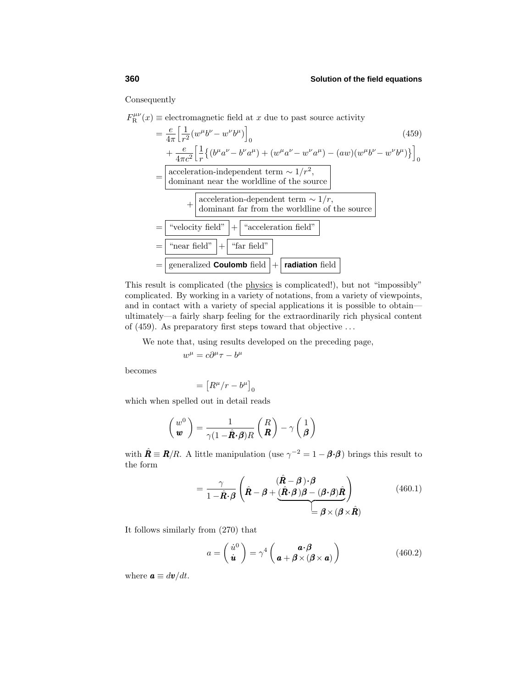Consequently

$$
F_{\rm R}^{\mu\nu}(x) \equiv \text{electromagnetic field at } x \text{ due to past source activity}
$$
\n
$$
= \frac{e}{4\pi} \Big[ \frac{1}{r^2} (w^{\mu}b^{\nu} - w^{\nu}b^{\mu}) \Big]_0
$$
\n
$$
+ \frac{e}{4\pi c^2} \Big[ \frac{1}{r} \{ (b^{\mu}a^{\nu} - b^{\nu}a^{\mu}) + (w^{\mu}a^{\nu} - w^{\nu}a^{\mu}) - (aw)(w^{\mu}b^{\nu} - w^{\nu}b^{\mu}) \} \Big]_0
$$
\n
$$
= \Big[ \frac{\text{acceleration-independent term } \sim 1/r^2,}{\text{dominant near the worldline of the source}}
$$
\n
$$
+ \Big[ \frac{\text{acceleration-dependent term } \sim 1/r,}{\text{dominant far from the worldline of the source}}
$$
\n
$$
= \frac{\text{``velocity field''}}{\text{``vector field''}} + \frac{\text{``acceleration field''}}{\text{``factor field''}} \Big]
$$
\n
$$
= \frac{\text{``reaceleration field''}}{\text{generalized Coulomb field}} + \Big[ \frac{\text{radiation field}}{\text{radiation field}} \Big]
$$

This result is complicated (the physics is complicated!), but not "impossibly" complicated. By working in a variety of notations, from a variety of viewpoints, and in contact with a variety of special applications it is possible to obtain ultimately—a fairly sharp feeling for the extraordinarily rich physical content of (459). As preparatory first steps toward that objective *...*

We note that, using results developed on the preceding page,

$$
w^{\mu} = c\partial^{\mu}\tau - b^{\mu}
$$

becomes

$$
= \left[R^\mu/r-b^\mu\right]_0
$$

which when spelled out in detail reads

$$
\begin{pmatrix} w^0 \\ \boldsymbol{w} \end{pmatrix} = \frac{1}{\gamma (1 - \hat{\boldsymbol{R}} \cdot \boldsymbol{\beta}) R} \begin{pmatrix} R \\ \boldsymbol{R} \end{pmatrix} - \gamma \begin{pmatrix} 1 \\ \boldsymbol{\beta} \end{pmatrix}
$$

with  $\hat{\mathbf{R}} \equiv \mathbf{R}/R$ . A little manipulation (use  $\gamma^{-2} = 1 - \boldsymbol{\beta} \cdot \boldsymbol{\beta}$ ) brings this result to the form

$$
= \frac{\gamma}{1 - \hat{\mathbf{R}} \cdot \beta} \left( \hat{\mathbf{R}} - \beta + \underbrace{(\hat{\mathbf{R}} \cdot \beta) \beta - (\beta \cdot \beta) \hat{\mathbf{R}}}_{\beta \times (\beta \times \hat{\mathbf{R}})} \right) \tag{460.1}
$$

It follows similarly from (270) that

$$
a = \begin{pmatrix} \dot{u}^0 \\ \dot{u} \end{pmatrix} = \gamma^4 \begin{pmatrix} a \cdot \beta \\ a + \beta \times (\beta \times a) \end{pmatrix}
$$
 (460.2)

where  $\mathbf{a} \equiv d\mathbf{v}/dt$ .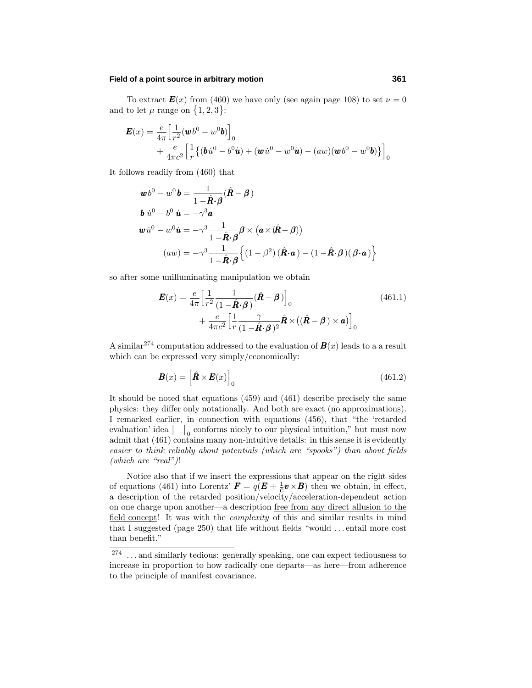# **Field of a point source in arbitrary motion 361**

To extract  $\mathbf{E}(x)$  from (460) we have only (see again page 108) to set  $\nu = 0$ and to let  $\mu$  range on  $\{1, 2, 3\}$ :

$$
\mathbf{E}(x) = \frac{e}{4\pi} \Big[ \frac{1}{r^2} (\boldsymbol{w}b^0 - w^0 \boldsymbol{b}) \Big]_0
$$
  
+ 
$$
\frac{e}{4\pi c^2} \Big[ \frac{1}{r} \{ (\boldsymbol{b}\dot{u}^0 - b^0 \boldsymbol{u}) + (\boldsymbol{w}\dot{u}^0 - w^0 \boldsymbol{u}) - (aw)(\boldsymbol{w}b^0 - w^0 \boldsymbol{b}) \} \Big]_0
$$

It follows readily from (460) that

$$
\mathbf{w}b^{0} - w^{0}\mathbf{b} = \frac{1}{1 - \hat{\mathbf{R}} \cdot \boldsymbol{\beta}} (\hat{\mathbf{R}} - \boldsymbol{\beta})
$$
  
\n
$$
\mathbf{b} \dot{u}^{0} - b^{0} \dot{\mathbf{u}} = -\gamma^{3} \mathbf{a}
$$
  
\n
$$
\mathbf{w} \dot{u}^{0} - w^{0} \dot{\mathbf{u}} = -\gamma^{3} \frac{1}{1 - \hat{\mathbf{R}} \cdot \boldsymbol{\beta}} \boldsymbol{\beta} \times (\mathbf{a} \times (\hat{\mathbf{R}} - \boldsymbol{\beta}))
$$
  
\n
$$
(aw) = -\gamma^{3} \frac{1}{1 - \hat{\mathbf{R}} \cdot \boldsymbol{\beta}} \left\{ (1 - \beta^{2}) (\hat{\mathbf{R}} \cdot \mathbf{a}) - (1 - \hat{\mathbf{R}} \cdot \boldsymbol{\beta}) (\boldsymbol{\beta} \cdot \mathbf{a}) \right\}
$$

so after some unilluminating manipulation we obtain

$$
\mathbf{E}(x) = \frac{e}{4\pi} \Big[ \frac{1}{r^2} \frac{1}{(1 - \hat{\mathbf{R}} \cdot \boldsymbol{\beta})} (\hat{\mathbf{R}} - \boldsymbol{\beta}) \Big]_0 + \frac{e}{4\pi c^2} \Big[ \frac{1}{r} \frac{\gamma}{(1 - \hat{\mathbf{R}} \cdot \boldsymbol{\beta})^2} \hat{\mathbf{R}} \times ((\hat{\mathbf{R}} - \boldsymbol{\beta}) \times \mathbf{a}) \Big]_0 \tag{461.1}
$$

A similar<sup>274</sup> computation addressed to the evaluation of  $\mathbf{B}(x)$  leads to a a result which can be expressed very simply/economically:

$$
\boldsymbol{B}(x) = \left[\hat{\boldsymbol{R}} \times \boldsymbol{E}(x)\right]_0 \tag{461.2}
$$

It should be noted that equations (459) and (461) describe precisely the same physics: they differ only notationally. And both are exact (no approximations). I remarked earlier, in connection with equations (456), that "the 'retarded evaluation' idea  $\begin{bmatrix} 0 & 0 \end{bmatrix}$  conforms nicely to our physical intuition," but must now admit that (461) contains many non-intuitive details: in this sense it is evidently easier to think reliably about potentials (which are "spooks") than about fields (which are "real")!

Notice also that if we insert the expressions that appear on the right sides of equations (461) into Lorentz'  $\mathbf{F} = q(\mathbf{E} + \frac{1}{c}\mathbf{v} \times \mathbf{B})$  then we obtain, in effect, a description of the retarded position/velocity/acceleration-dependent action on one charge upon another—a description free from any direct allusion to the field concept! It was with the complexity of this and similar results in mind that I suggested (page 250) that life without fields "would *...* entail more cost than benefit."

<sup>&</sup>lt;sup>274</sup> ... and similarly tedious: generally speaking, one can expect tediousness to increase in proportion to how radically one departs—as here—from adherence to the principle of manifest covariance.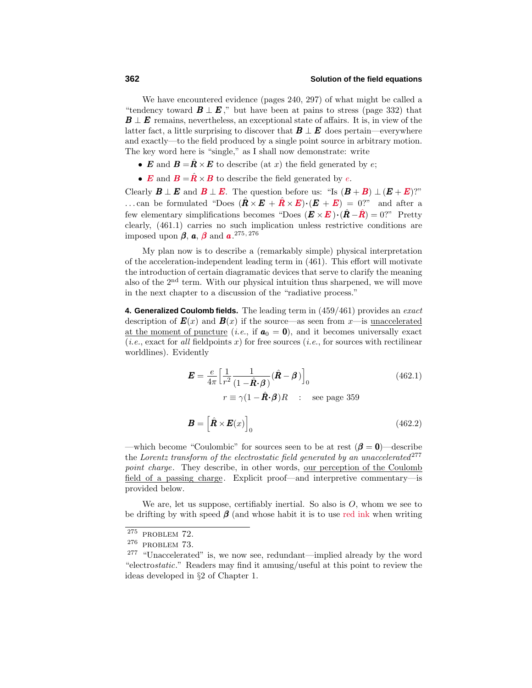We have encountered evidence (pages 240, 297) of what might be called a "tendency toward  $\mathbf{B} \perp \mathbf{E}$ ," but have been at pains to stress (page 332) that  $B \perp E$  remains, nevertheless, an exceptional state of affairs. It is, in view of the latter fact, a little surprising to discover that  $\mathbf{B} \perp \mathbf{E}$  does pertain—everywhere and exactly—to the field produced by a single point source in arbitrary motion. The key word here is "single,"as I shall now demonstrate: write

- $\mathbf{E}$  and  $\mathbf{B} = \hat{\mathbf{R}} \times \mathbf{E}$  to describe (at *x*) the field generated by *e*;
- *E* and  $B = \hat{R} \times B$  to describe the field generated by *e*.

Clearly  $\mathbf{B} \perp \mathbf{E}$  and  $\mathbf{B} \perp \mathbf{E}$ . The question before us: "Is  $(\mathbf{B} + \mathbf{B}) \perp (\mathbf{E} + \mathbf{E})$ ?" ...can be formulated "Does  $(\hat{\mathbf{R}} \times \mathbf{E} + \hat{\mathbf{R}} \times \mathbf{E}) \cdot (\mathbf{E} + \mathbf{E}) = 0$ ?" and after a few elementary simplifications becomes "Does  $(\mathbf{E} \times \mathbf{E}) \cdot (\hat{\mathbf{R}} - \hat{\mathbf{R}}) = 0$ ?" Pretty clearly, (461.1) carries no such implication unless restrictive conditions are imposed upon *β*, *a*, *β* and *a*. 275*,* 276

My plan now is to describe a (remarkably simple) physical interpretation of the acceleration-independent leading term in (461). This effort will motivate the introduction of certain diagramatic devices that serve to clarify the meaning also of the  $2<sup>nd</sup>$  term. With our physical intuition thus sharpened, we will move in the next chapter to a discussion of the "radiative process."

**4. Generalized Coulomb fields.** The leading term in (459/461) provides an exact description of  $\mathbf{E}(x)$  and  $\mathbf{B}(x)$  if the source—as seen from *x*—is <u>unaccelerated</u> at the moment of puncture (*i.e.*, if  $a_0 = 0$ ), and it becomes universally exact  $(i.e., exact for all field points x)$  for free sources  $(i.e., for sources with rectilinear)$ worldlines). Evidently

$$
\mathbf{E} = \frac{e}{4\pi} \Big[ \frac{1}{r^2} \frac{1}{(1 - \hat{\mathbf{R}} \cdot \boldsymbol{\beta})} (\hat{\mathbf{R}} - \boldsymbol{\beta}) \Big]_0
$$
 (462.1)  

$$
r \equiv \gamma (1 - \hat{\mathbf{R}} \cdot \boldsymbol{\beta}) R \quad : \quad \text{see page 359}
$$

$$
\boldsymbol{B} = \left[ \hat{\boldsymbol{R}} \times \boldsymbol{E}(x) \right]_0 \tag{462.2}
$$

—which become "Coulombic" for sources seen to be at rest  $(\beta = 0)$ —describe the Lorentz transform of the electrostatic field generated by an unaccelerated  $277$ point charge. They describe, in other words, our perception of the Coulomb field of a passing charge. Explicit proof—and interpretive commentary—is provided below.

We are, let us suppose, certifiably inertial. So also is  $O$ , whom we see to be drifting by with speed  $\beta$  (and whose habit it is to use red ink when writing

 $2^{75}$  PROBLEM 72.

<sup>276</sup> problem 73.

 $277$  "Unaccelerated" is, we now see, redundant—implied already by the word "electrostatic." Readers may find it amusing/useful at this point to review the ideas developed in §2 of Chapter 1.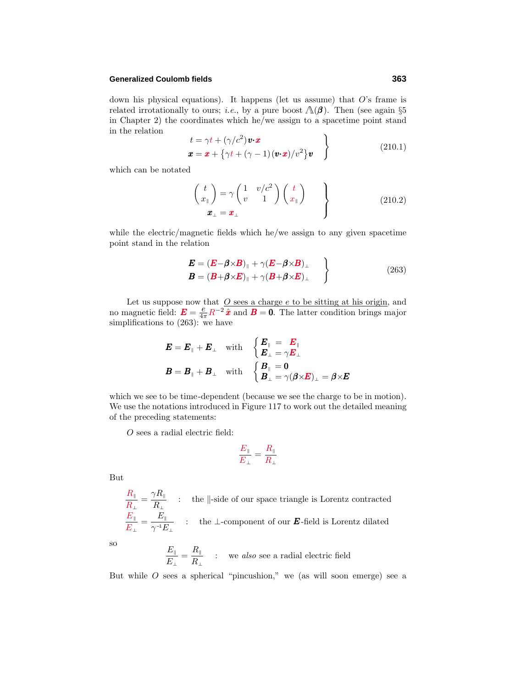#### **Generalized Coulomb fields 363**

down his physical equations). It happens (let us assume) that *O*'s frame is related irrotationally to ours; *i.e.*, by a pure boost  $\Lambda(\beta)$ . Then (see again §5 in Chapter 2) the coordinates which he/we assign to a spacetime point stand in the relation

$$
\begin{aligned}\nt &= \gamma t + (\gamma/c^2) \mathbf{v} \cdot \mathbf{x} \\
\mathbf{x} &= \mathbf{x} + \{\gamma t + (\gamma - 1)(\mathbf{v} \cdot \mathbf{x})/v^2\} \mathbf{v}\n\end{aligned}
$$
\n(210.1)

which can be notated

$$
\begin{pmatrix} t \\ x_{\parallel} \end{pmatrix} = \gamma \begin{pmatrix} 1 & v/c^2 \\ v & 1 \end{pmatrix} \begin{pmatrix} t \\ x_{\parallel} \end{pmatrix}
$$
  

$$
\mathbf{x}_{\perp} = \mathbf{x}_{\perp}
$$
 (210.2)

while the electric/magnetic fields which he/we assign to any given spacetime point stand in the relation

$$
\mathbf{E} = (\mathbf{E} - \boldsymbol{\beta} \times \mathbf{B})_{\parallel} + \gamma (\mathbf{E} - \boldsymbol{\beta} \times \mathbf{B})_{\perp}
$$
  
\n
$$
\mathbf{B} = (\mathbf{B} + \boldsymbol{\beta} \times \mathbf{E})_{\parallel} + \gamma (\mathbf{B} + \boldsymbol{\beta} \times \mathbf{E})_{\perp}
$$
\n(263)

Let us suppose now that <u>O sees a charge *e* to be sitting at his origin</u>, and no magnetic field:  $\mathbf{E} = \frac{e}{4\pi} R^{-2} \hat{\mathbf{x}}$  and  $\mathbf{B} = \mathbf{0}$ . The latter condition brings major simplifications to (263): we have

$$
\begin{aligned}\n\boldsymbol{E} &= \boldsymbol{E}_{\parallel} + \boldsymbol{E}_{\perp} \quad \text{with} \quad \left\{ \begin{aligned}\n\boldsymbol{E}_{\parallel} &= \boldsymbol{E}_{\parallel} \\
\boldsymbol{E}_{\perp} &= \gamma \boldsymbol{E}_{\perp} \\
\boldsymbol{E}_{\perp} &= \gamma \boldsymbol{E}_{\perp}\n\end{aligned}\right. \\
\boldsymbol{B} &= \boldsymbol{B}_{\parallel} + \boldsymbol{B}_{\perp} \quad \text{with} \quad \left\{ \begin{aligned}\n\boldsymbol{B}_{\parallel} &= \boldsymbol{0} \\
\boldsymbol{B}_{\perp} &= \gamma (\boldsymbol{\beta} \times \boldsymbol{E})_{\perp} = \boldsymbol{\beta} \times \boldsymbol{E}_{\perp}\n\end{aligned}\n\end{aligned}
$$

which we see to be time-dependent (because we see the charge to be in motion). We use the notations introduced in Figure 117 to work out the detailed meaning of the preceding statements:

*O* sees a radial electric field:

$$
\frac{E_{\parallel}}{E_{\perp}} = \frac{R_{\parallel}}{R_{\perp}}
$$

But

$$
\frac{R_{\parallel}}{R_{\perp}} = \frac{\gamma R_{\parallel}}{R_{\perp}}
$$
: the  $\parallel$ -side of our space triangle is Lorentz contracted  
\n
$$
\frac{E_{\parallel}}{E_{\perp}} = \frac{E_{\parallel}}{\gamma^{-1} E_{\perp}}
$$
: the  $\perp$ -component of our ***E***-field is Lorentz dilated

so

$$
\frac{E_{\parallel}}{E_{\perp}} = \frac{R_{\parallel}}{R_{\perp}} \quad : \quad \text{we also see a radial electric field}
$$

But while  $O$  sees a spherical "pincushion," we (as will soon emerge) see a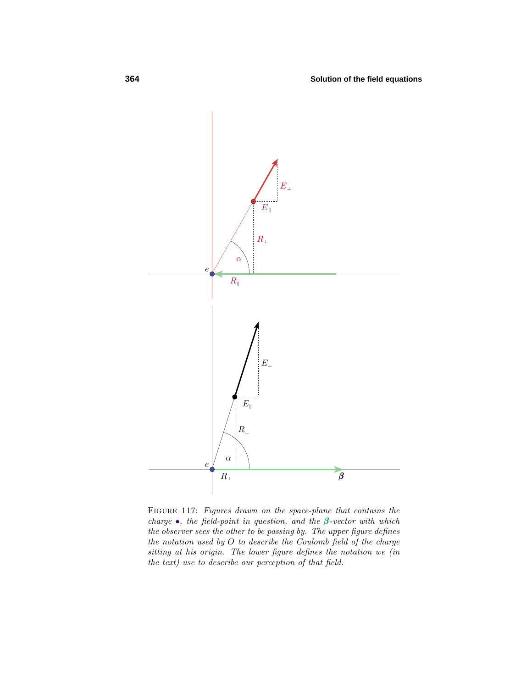

FIGURE 117: Figures drawn on the space-plane that contains the charge •, the field-point in question, and the *β* -vector with which the observer sees the other to be passing by. The upper figure defines the notation used by *O* to describe the Coulomb field of the charge sitting at his origin. The lower figure defines the notation we (in the text) use to describe our perception of that field.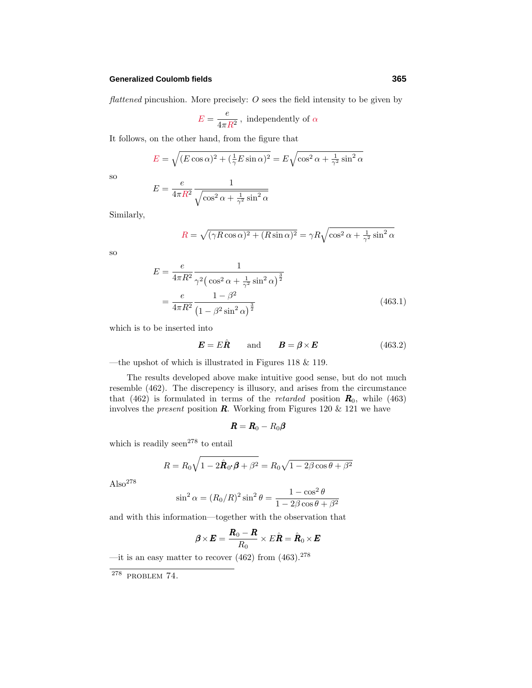## **Generalized Coulomb fields 365**

flattened pincushion. More precisely: *O* sees the field intensity to be given by

$$
E = \frac{e}{4\pi R^2}
$$
, independently of  $\alpha$ 

It follows, on the other hand, from the figure that

$$
E = \sqrt{(E\cos\alpha)^2 + (\frac{1}{\gamma}E\sin\alpha)^2} = E\sqrt{\cos^2\alpha + \frac{1}{\gamma^2}\sin^2\alpha}
$$

so

$$
E = \frac{e}{4\pi R^2} \frac{1}{\sqrt{\cos^2 \alpha + \frac{1}{\gamma^2} \sin^2 \alpha}}
$$

Similarly,

$$
R = \sqrt{(\gamma R \cos \alpha)^2 + (R \sin \alpha)^2} = \gamma R \sqrt{\cos^2 \alpha + \frac{1}{\gamma^2} \sin^2 \alpha}
$$

so

$$
E = \frac{e}{4\pi R^2} \frac{1}{\gamma^2 \left(\cos^2 \alpha + \frac{1}{\gamma^2} \sin^2 \alpha\right)^{\frac{3}{2}}} \\
= \frac{e}{4\pi R^2} \frac{1 - \beta^2}{\left(1 - \beta^2 \sin^2 \alpha\right)^{\frac{3}{2}}}\n\tag{463.1}
$$

which is to be inserted into

$$
\boldsymbol{E} = E\hat{\boldsymbol{R}} \quad \text{and} \quad \boldsymbol{B} = \boldsymbol{\beta} \times \boldsymbol{E} \quad (463.2)
$$

—the upshot of which is illustrated in Figures 118 & 119.

The results developed above make intuitive good sense, but do not much resemble (462). The discrepency is illusory, and arises from the circumstance that (462) is formulated in terms of the *retarded* position  $\mathbf{R}_0$ , while (463) involves the *present* position  $\boldsymbol{R}$ . Working from Figures 120  $\&$  121 we have

$$
\boldsymbol{R} = \boldsymbol{R}_0 - R_0 \boldsymbol{\beta}
$$

which is readily seen<sup>278</sup> to entail

$$
R = R_0 \sqrt{1 - 2\hat{\boldsymbol{R}}_0 \cdot \boldsymbol{\beta} + \beta^2} = R_0 \sqrt{1 - 2\beta \cos \theta + \beta^2}
$$

 $Also<sup>278</sup>$ 

$$
\sin^2 \alpha = (R_0/R)^2 \sin^2 \theta = \frac{1 - \cos^2 \theta}{1 - 2\beta \cos \theta + \beta^2}
$$

and with this information—together with the observation that

$$
\boldsymbol{\beta} \times \boldsymbol{E} = \frac{\boldsymbol{R}_0 - \boldsymbol{R}}{R_0} \times E \hat{\boldsymbol{R}} = \hat{\boldsymbol{R}}_0 \times \boldsymbol{E}
$$

—it is an easy matter to recover (462) from (463).  $^{278}$ 

 $278$  PROBLEM 74.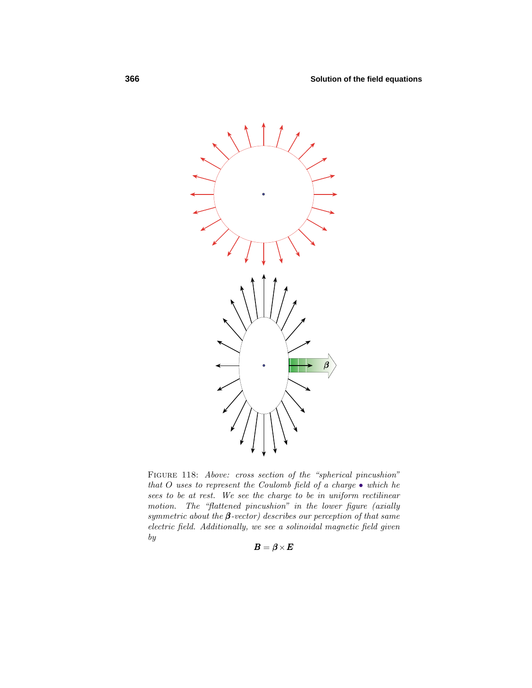

FIGURE 118: Above: cross section of the "spherical pincushion" that *O* uses to represent the Coulomb field of a charge • which he sees to be at rest. We see the charge to be in uniform rectilinear motion. The "flattened pincushion" in the lower figure (axially symmetric about the  $\beta$ -vector) describes our perception of that same electric field. Additionally, we see a solinoidal magnetic field given  $\boldsymbol{by}$ 

$$
\bm{B} = \bm{\beta} \!\times\! \bm{E}
$$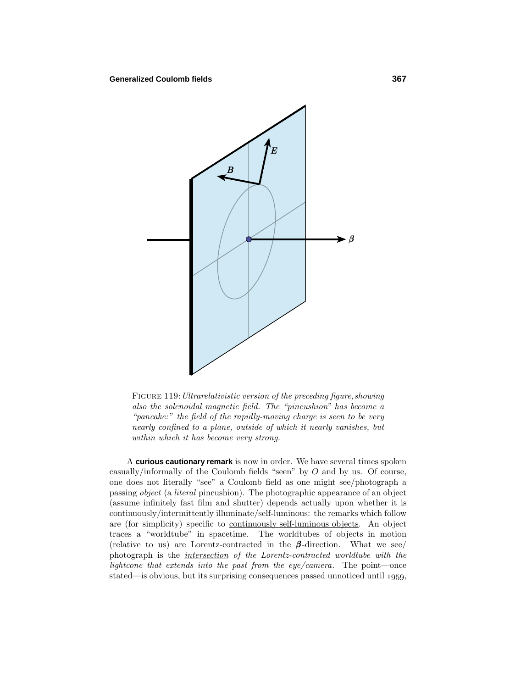

FIGURE 119: Ultrarelativistic version of the preceding figure, showing also the solenoidal magnetic field. The "pincushion" has become a "pancake:" the field of the rapidly-moving charge is seen to be very nearly confined to a plane, outside of which it nearly vanishes, but within which it has become very strong.

A **curious cautionary remark** is now in order. We have several times spoken casually/informally of the Coulomb fields "seen"by *O* and by us. Of course, one does not literally "see"a Coulomb field as one might see/photograph a passing object (a literal pincushion). The photographic appearance of an object (assume infinitely fast film and shutter) depends actually upon whether it is continuously/intermittently illuminate/self-luminous: the remarks which follow are (for simplicity) specific to continuously self-luminous objects. An object traces a "worldtube" in spacetime. The worldtubes of objects in motion (relative to us) are Lorentz-contracted in the *β* -direction. What we see/ photograph is the *intersection* of the Lorentz-contracted worldtube with the lightcone that extends into the past from the eye/camera. The point—once stated—is obvious, but its surprising consequences passed unnoticed until 1959,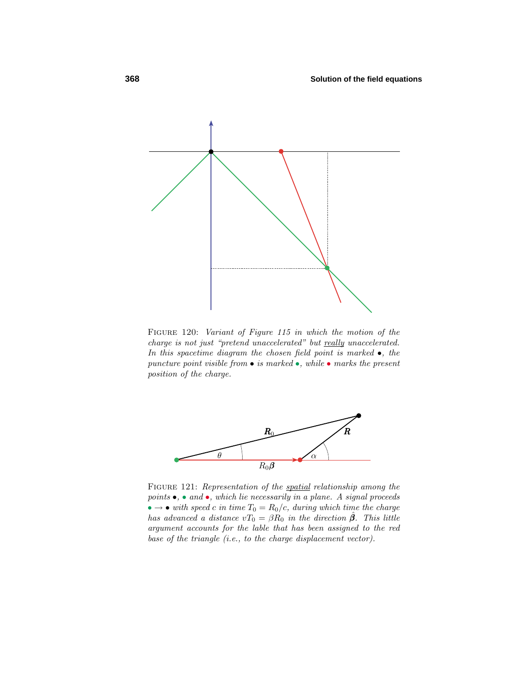

Figure 120: Variant of Figure 115 in which the motion of the charge is not just "pretend unaccelerated" but really unaccelerated. In this spacetime diagram the chosen field point is marked  $\bullet$ , the puncture point visible from  $\bullet$  is marked  $\bullet$ , while  $\bullet$  marks the present position of the charge.



FIGURE 121: Representation of the spatial relationship among the points  $\bullet$ ,  $\bullet$  and  $\bullet$ , which lie necessarily in a plane. A signal proceeds  $\bullet \rightarrow \bullet$  with speed *c* in time  $T_0 = R_0/c$ , during which time the charge has advanced a distance  $vT_0 = \beta R_0$  in the direction  $\hat{\beta}$ . This little argument accounts for the lable that has been assigned to the red base of the triangle (i.e., to the charge displacement vector).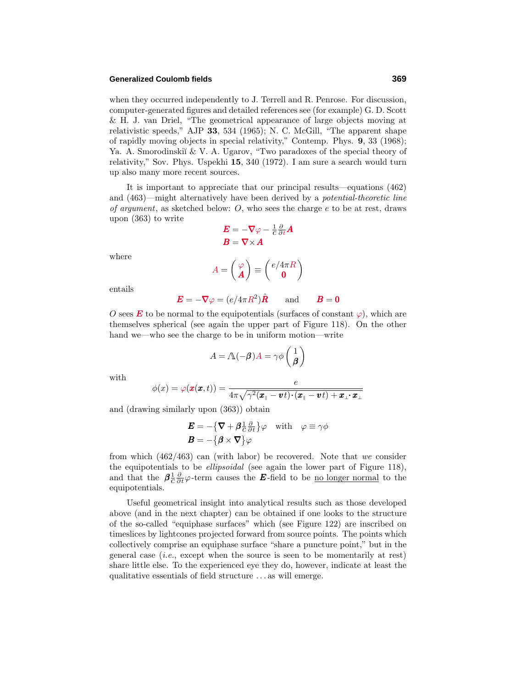#### **Generalized Coulomb fields 369**

when they occurred independently to J. Terrell and R. Penrose. For discussion, computer-generated figures and detailed references see (for example) G. D. Scott & H. J. van Driel, "The geometrical appearance of large objects moving at relativistic speeds,"AJP **33**, 534 (1965); N. C. McGill, "The apparent shape of rapidly moving objects in special relativity,"Contemp. Phys. **9**, 33 (1968); Ya. A. Smorodinskiĭ & V. A. Ugarov, "Two paradoxes of the special theory of relativity,"Sov. Phys. Uspekhi **15**, 340 (1972). I am sure a search would turn up also many more recent sources.

It is important to appreciate that our principal results—equations (462) and (463)—might alternatively have been derived by a potential-theoretic line of argument, as sketched below: *O*, who sees the charge *e* to be at rest, draws upon (363) to write

$$
E = -\nabla \varphi - \frac{1}{c} \frac{\partial}{\partial t} A
$$

$$
B = \nabla \times A
$$

$$
A = \begin{pmatrix} \varphi \\ A \end{pmatrix} \equiv \begin{pmatrix} e/4\pi R \\ 0 \end{pmatrix}
$$

where

$$
A = \begin{pmatrix} A \\ A \end{pmatrix} \equiv \begin{pmatrix} 0 \\ 0 \end{pmatrix}
$$

entails

$$
\boldsymbol{E} = -\boldsymbol{\nabla}\varphi = (e/4\pi R^2)\hat{\boldsymbol{R}} \quad \text{and} \quad \boldsymbol{B} = \boldsymbol{0}
$$

*O* sees *E* to be normal to the equipotentials (surfaces of constant  $\varphi$ ), which are themselves spherical (see again the upper part of Figure 118). On the other hand we—who see the charge to be in uniform motion—write

$$
A = \Lambda(-\boldsymbol{\beta})A = \gamma \phi \begin{pmatrix} 1 \\ \boldsymbol{\beta} \end{pmatrix}
$$

with

$$
\phi(x) = \varphi(\pmb{x}(\pmb{x},t)) = \frac{e}{4\pi\sqrt{\gamma^2(\pmb{x}_{\parallel} - \pmb{v}t)\cdot(\pmb{x}_{\parallel} - \pmb{v}t)+\pmb{x}_{\perp}\cdot\pmb{x}_{\perp}}}
$$

and (drawing similarly upon (363)) obtain

$$
\mathbf{E} = -\{\nabla + \beta \frac{\partial}{\partial t}\} \varphi \quad \text{with} \quad \varphi \equiv \gamma \phi
$$

$$
\mathbf{B} = -\{\beta \times \nabla\} \varphi
$$

from which  $(462/463)$  can (with labor) be recovered. Note that we consider the equipotentials to be *ellipsoidal* (see again the lower part of Figure 118), and that the  $\beta \frac{1}{c} \frac{\partial}{\partial t} \varphi$ -term causes the **E**-field to be <u>no longer normal</u> to the equipotentials.

Useful geometrical insight into analytical results such as those developed above (and in the next chapter) can be obtained if one looks to the structure of the so-called "equiphase surfaces"which (see Figure 122) are inscribed on timeslices by lightcones projected forward from source points. The points which collectively comprise an equiphase surface "share a puncture point," but in the general case  $(i.e., \text{except when the source is seen to be momentarily at rest})$ share little else. To the experienced eye they do, however, indicate at least the qualitative essentials of field structure *...* as will emerge.